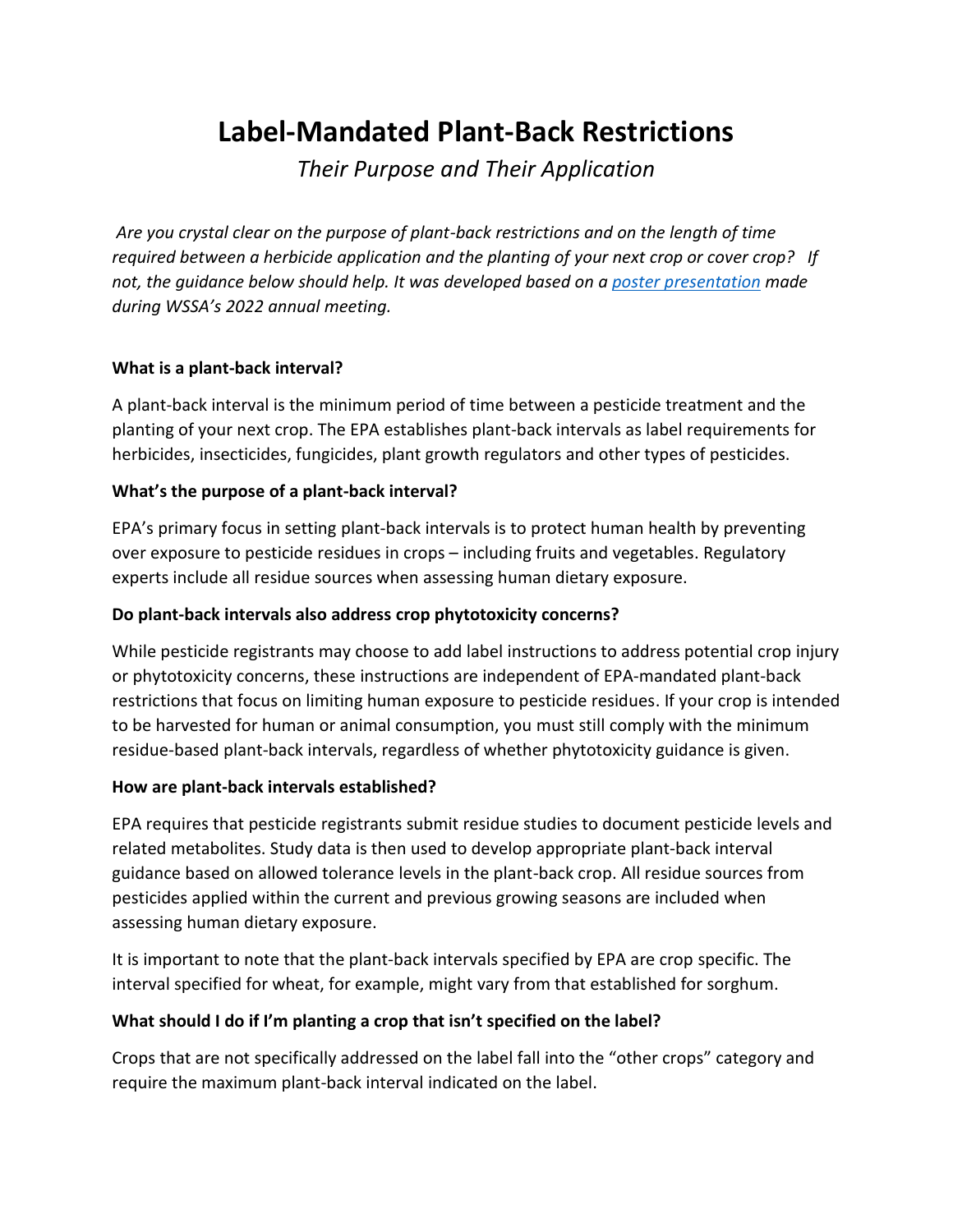# **Label-Mandated Plant-Back Restrictions**

*Their Purpose and Their Application*

*Are you crystal clear on the purpose of plant-back restrictions and on the length of time required between a herbicide application and the planting of your next crop or cover crop? If not, the guidance below should help. It was developed based on a [poster presentation](https://wssa.net/wp-content/uploads/PBI_WSSA-Poster.pdf) made during WSSA's 2022 annual meeting.* 

# **What is a plant-back interval?**

A plant-back interval is the minimum period of time between a pesticide treatment and the planting of your next crop. The EPA establishes plant-back intervals as label requirements for herbicides, insecticides, fungicides, plant growth regulators and other types of pesticides.

# **What's the purpose of a plant-back interval?**

EPA's primary focus in setting plant-back intervals is to protect human health by preventing over exposure to pesticide residues in crops – including fruits and vegetables. Regulatory experts include all residue sources when assessing human dietary exposure.

### **Do plant-back intervals also address crop phytotoxicity concerns?**

While pesticide registrants may choose to add label instructions to address potential crop injury or phytotoxicity concerns, these instructions are independent of EPA-mandated plant-back restrictions that focus on limiting human exposure to pesticide residues. If your crop is intended to be harvested for human or animal consumption, you must still comply with the minimum residue-based plant-back intervals, regardless of whether phytotoxicity guidance is given.

#### **How are plant-back intervals established?**

EPA requires that pesticide registrants submit residue studies to document pesticide levels and related metabolites. Study data is then used to develop appropriate plant-back interval guidance based on allowed tolerance levels in the plant-back crop. All residue sources from pesticides applied within the current and previous growing seasons are included when assessing human dietary exposure.

It is important to note that the plant-back intervals specified by EPA are crop specific. The interval specified for wheat, for example, might vary from that established for sorghum.

# **What should I do if I'm planting a crop that isn't specified on the label?**

Crops that are not specifically addressed on the label fall into the "other crops" category and require the maximum plant-back interval indicated on the label.